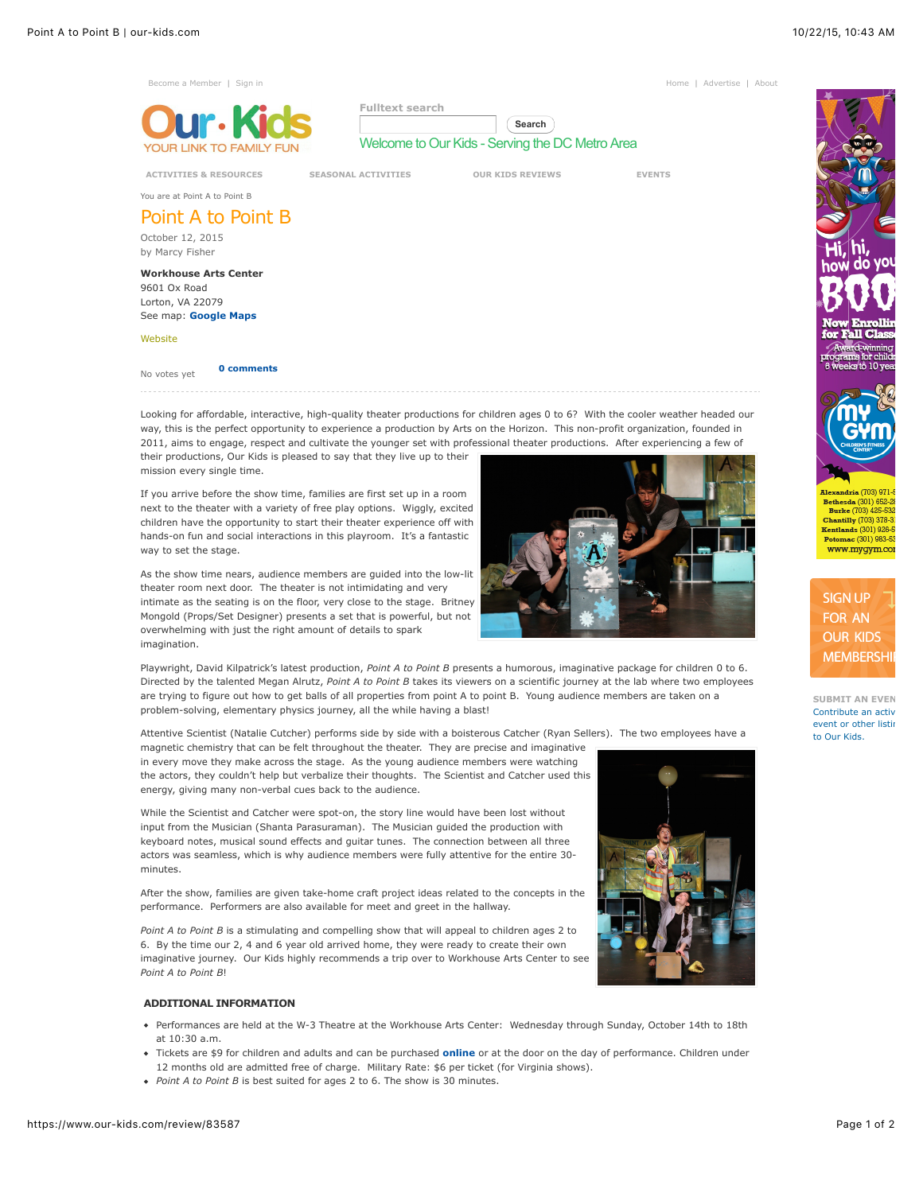

Looking for affordable, interactive, high-quality theater productions for children ages 0 to 6? With the cooler weather headed our way, this is the perfect opportunity to experience a production by Arts on the Horizon. This non-profit organization, founded in 2011, aims to engage, respect and cultivate the younger set with professional theater productions. After experiencing a few of their productions, Our Kids is pleased to say that they live up to their

mission every single time. If you arrive before the show time, families are first set up in a room

next to the theater with a variety of free play options. Wiggly, excited children have the opportunity to start their theater experience off with hands-on fun and social interactions in this playroom. It's a fantastic way to set the stage.

As the show time nears, audience members are guided into the low-lit theater room next door. The theater is not intimidating and very intimate as the seating is on the floor, very close to the stage. Britney Mongold (Props/Set Designer) presents a set that is powerful, but not overwhelming with just the right amount of details to spark imagination.



Attentive Scientist (Natalie Cutcher) performs side by side with a boisterous Catcher (Ryan Sellers). The two employees have a

magnetic chemistry that can be felt throughout the theater. They are precise and imaginative in every move they make across the stage. As the young audience members were watching the actors, they couldn't help but verbalize their thoughts. The Scientist and Catcher used this energy, giving many non-verbal cues back to the audience.

While the Scientist and Catcher were spot-on, the story line would have been lost without input from the Musician (Shanta Parasuraman). The Musician guided the production with keyboard notes, musical sound effects and guitar tunes. The connection between all three actors was seamless, which is why audience members were fully attentive for the entire 30 minutes.

After the show, families are given take-home craft project ideas related to the concepts in the performance. Performers are also available for meet and greet in the hallway.

*Point A to Point B* is a stimulating and compelling show that will appeal to children ages 2 to 6. By the time our 2, 4 and 6 year old arrived home, they were ready to create their own imaginative journey. Our Kids highly recommends a trip over to Workhouse Arts Center to see *Point A to Point B*!

## **ADDITIONAL INFORMATION**

- Performances are held at the W-3 Theatre at the Workhouse Arts Center: Wednesday through Sunday, October 14th to 18th at 10:30 a.m.
- Tickets are \$9 for children and adults and can be purchased **[online](http://www.artsonthehorizon.org/point-a-to-point-b.html)** or at the door on the day of performance. Children under 12 months old are admitted free of charge. Military Rate: \$6 per ticket (for Virginia shows).
- *Point A to Point B* is best suited for ages 2 to 6. The show is 30 minutes.





SIGN UP FOR AN **OUR KIDS** 

Slavandria (703) 071 Burke (703) 425-532 **Chantilly** (703) 378-3 Kentlands (301) 926-Potomac (301) 983-53 www.mygym.co

**SUBMIT AN EVEN** [Contribute an activ](https://www.our-kids.com/submit-your-event)ity event or other listing to Our Kids.

**MEMBERSHI**